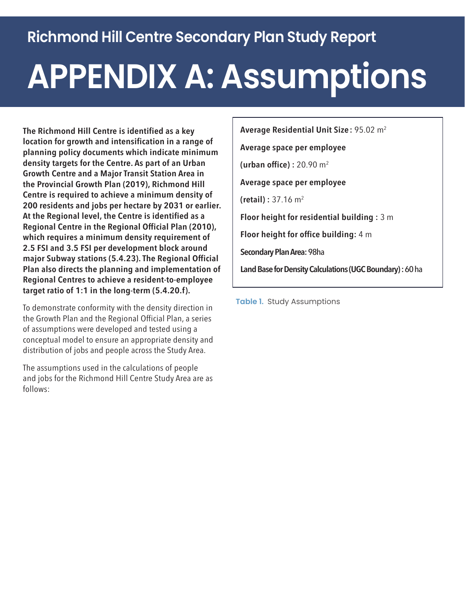## **Richmond Hill Centre Secondary Plan Study Report**

## **APPENDIX A: Assumptions**

**The Richmond Hill Centre is identified as a key location for growth and intensification in a range of planning policy documents which indicate minimum density targets for the Centre. As part of an Urban Growth Centre and a Major Transit Station Area in the Provincial Growth Plan (2019), Richmond Hill Centre is required to achieve a minimum density of 200 residents and jobs per hectare by 2031 or earlier. At the Regional level, the Centre is identified as a Regional Centre in the Regional Official Plan (2010), which requires a minimum density requirement of 2.5 FSI and 3.5 FSI per development block around major Subway stations (5.4.23). The Regional Official Plan also directs the planning and implementation of Regional Centres to achieve a resident-to-employee target ratio of 1:1 in the long-term (5.4.20.f).**

To demonstrate conformity with the density direction in the Growth Plan and the Regional Official Plan, a series of assumptions were developed and tested using a conceptual model to ensure an appropriate density and distribution of jobs and people across the Study Area.

The assumptions used in the calculations of people and jobs for the Richmond Hill Centre Study Area are as follows:

**Average Residential Unit Size:** 95.02 m2 **Average space per employee (urban office) :** 20.90 m2 **Average space per employee (retail) :** 37.16 m2 **Floor height for residential building :** 3 m **Floor height for office building:** 4 m **Secondary Plan Area:**98ha **Land Base for Density Calculations (UGC Boundary) :** 60 ha

**Table 1.** Study Assumptions